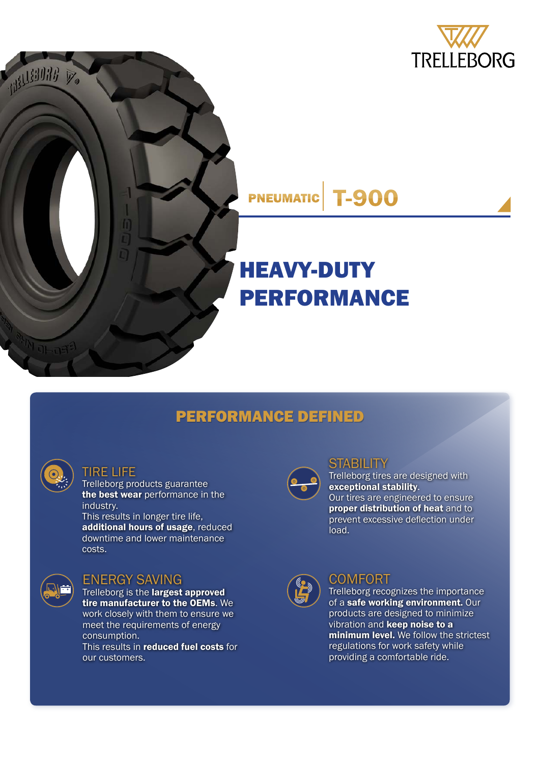





# HEAVY-DUTY PERFORMANCE

## PERFORMANCE DEFINED

| ٩       |
|---------|
| e,<br>٦ |

#### TIRE LIFE

Trelleborg products guarantee the best wear performance in the industry.

This results in longer tire life, additional hours of usage, reduced downtime and lower maintenance costs.



#### ENERGY SAVING

Trelleborg is the largest approved tire manufacturer to the OEMs. We work closely with them to ensure we meet the requirements of energy consumption. This results in reduced fuel costs for our customers.



## **STABILITY**

Trelleborg tires are designed with exceptional stability. Our tires are engineered to ensure proper distribution of heat and to prevent excessive deflection under load.



### **COMFORT**

Trelleborg recognizes the importance of a safe working environment. Our products are designed to minimize vibration and **keep noise to a** minimum level. We follow the strictest regulations for work safety while providing a comfortable ride.